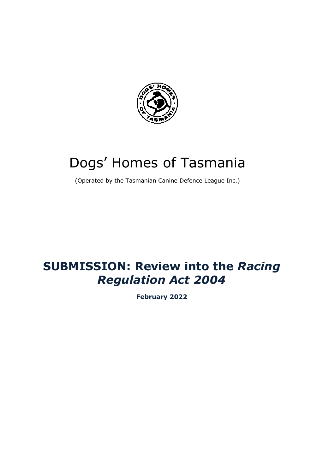

# Dogs' Homes of Tasmania

(Operated by the Tasmanian Canine Defence League Inc.)

## **SUBMISSION: Review into the** *Racing Regulation Act 2004*

**February 2022**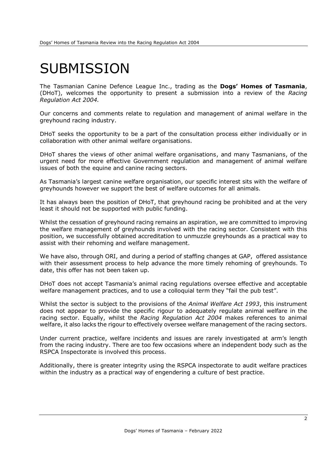# **SUBMISSION**

The Tasmanian Canine Defence League Inc., trading as the **Dogs' Homes of Tasmania**, (DHoT), welcomes the opportunity to present a submission into a review of the *Racing Regulation Act 2004.*

Our concerns and comments relate to regulation and management of animal welfare in the greyhound racing industry.

DHoT seeks the opportunity to be a part of the consultation process either individually or in collaboration with other animal welfare organisations.

DHoT shares the views of other animal welfare organisations, and many Tasmanians, of the urgent need for more effective Government regulation and management of animal welfare issues of both the equine and canine racing sectors.

As Tasmania's largest canine welfare organisation, our specific interest sits with the welfare of greyhounds however we support the best of welfare outcomes for all animals.

It has always been the position of DHoT, that greyhound racing be prohibited and at the very least it should not be supported with public funding.

Whilst the cessation of greyhound racing remains an aspiration, we are committed to improving the welfare management of greyhounds involved with the racing sector. Consistent with this position, we successfully obtained accreditation to unmuzzle greyhounds as a practical way to assist with their rehoming and welfare management.

We have also, through ORI, and during a period of staffing changes at GAP, offered assistance with their assessment process to help advance the more timely rehoming of greyhounds. To date, this offer has not been taken up.

DHoT does not accept Tasmania's animal racing regulations oversee effective and acceptable welfare management practices, and to use a colloquial term they "fail the pub test".

Whilst the sector is subject to the provisions of the *Animal Welfare Act 1993*, this instrument does not appear to provide the specific rigour to adequately regulate animal welfare in the racing sector. Equally, whilst the *Racing Regulation Act 2004* makes references to animal welfare, it also lacks the rigour to effectively oversee welfare management of the racing sectors.

Under current practice, welfare incidents and issues are rarely investigated at arm's length from the racing industry. There are too few occasions where an independent body such as the RSPCA Inspectorate is involved this process.

Additionally, there is greater integrity using the RSPCA inspectorate to audit welfare practices within the industry as a practical way of engendering a culture of best practice.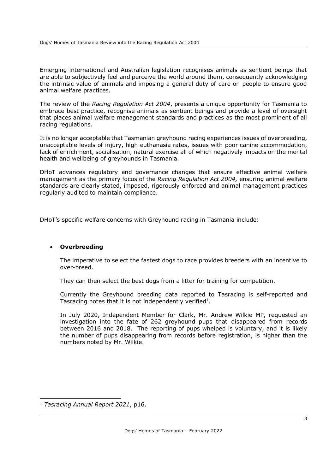Emerging international and Australian legislation recognises animals as sentient beings that are able to subjectively feel and perceive the world around them, consequently acknowledging the intrinsic value of animals and imposing a general duty of care on people to ensure good animal welfare practices.

The review of the *Racing Regulation Act 2004*, presents a unique opportunity for Tasmania to embrace best practice, recognise animals as sentient beings and provide a level of oversight that places animal welfare management standards and practices as the most prominent of all racing regulations.

It is no longer acceptable that Tasmanian greyhound racing experiences issues of overbreeding, unacceptable levels of injury, high euthanasia rates, issues with poor canine accommodation, lack of enrichment, socialisation, natural exercise all of which negatively impacts on the mental health and wellbeing of greyhounds in Tasmania.

DHoT advances regulatory and governance changes that ensure effective animal welfare management as the primary focus of the *Racing Regulation Act 2004,* ensuring animal welfare standards are clearly stated, imposed, rigorously enforced and animal management practices regularly audited to maintain compliance.

DHoT's specific welfare concerns with Greyhound racing in Tasmania include:

#### • **Overbreeding**

The imperative to select the fastest dogs to race provides breeders with an incentive to over-breed.

They can then select the best dogs from a litter for training for competition.

Currently the Greyhound breeding data reported to Tasracing is self-reported and Tasracing notes that it is not independently verified<sup>1</sup>.

In July 2020, Independent Member for Clark, Mr. Andrew Wilkie MP, requested an investigation into the fate of 262 greyhound pups that disappeared from records between 2016 and 2018. The reporting of pups whelped is voluntary, and it is likely the number of pups disappearing from records before registration, is higher than the numbers noted by Mr. Wilkie.

<sup>1</sup> *Tasracing Annual Report 2021*, p16.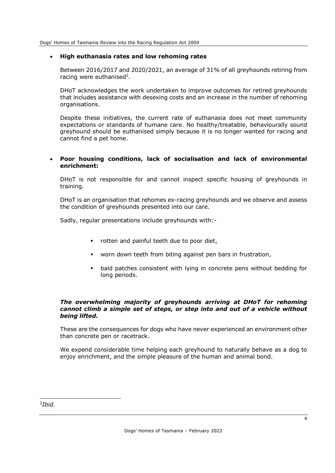#### • **High euthanasia rates and low rehoming rates**

Between 2016/2017 and 2020/2021, an average of 31% of all greyhounds retiring from racing were euthanised<sup>2</sup>.

DHoT acknowledges the work undertaken to improve outcomes for retired greyhounds that includes assistance with desexing costs and an increase in the number of rehoming organisations.

Despite these initiatives, the current rate of euthanasia does not meet community expectations or standards of humane care. No healthy/treatable, behaviourally sound greyhound should be euthanised simply because it is no longer wanted for racing and cannot find a pet home.

#### • **Poor housing conditions, lack of socialisation and lack of environmental enrichment:**

DHoT is not responsible for and cannot inspect specific housing of greyhounds in training.

DHoT is an organisation that rehomes ex-racing greyhounds and we observe and assess the condition of greyhounds presented into our care.

Sadly, regular presentations include greyhounds with:-

- rotten and painful teeth due to poor diet,
- worn down teeth from biting against pen bars in frustration,
- bald patches consistent with lying in concrete pens without bedding for long periods.

#### *The overwhelming majority of greyhounds arriving at DHoT for rehoming cannot climb a simple set of steps, or step into and out of a vehicle without being lifted.*

These are the consequences for dogs who have never experienced an environment other than concrete pen or racetrack.

We expend considerable time helping each greyhound to naturally behave as a dog to enjoy enrichment, and the simple pleasure of the human and animal bond.

2 *Ibid.*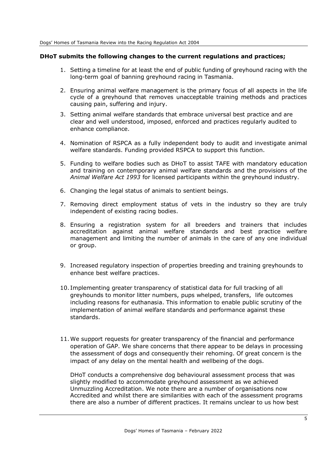#### **DHoT submits the following changes to the current regulations and practices;**

- 1. Setting a timeline for at least the end of public funding of greyhound racing with the long-term goal of banning greyhound racing in Tasmania.
- 2. Ensuring animal welfare management is the primary focus of all aspects in the life cycle of a greyhound that removes unacceptable training methods and practices causing pain, suffering and injury.
- 3. Setting animal welfare standards that embrace universal best practice and are clear and well understood, imposed, enforced and practices regularly audited to enhance compliance.
- 4. Nomination of RSPCA as a fully independent body to audit and investigate animal welfare standards. Funding provided RSPCA to support this function.
- 5. Funding to welfare bodies such as DHoT to assist TAFE with mandatory education and training on contemporary animal welfare standards and the provisions of the *Animal Welfare Act 1993* for licensed participants within the greyhound industry.
- 6. Changing the legal status of animals to sentient beings.
- 7. Removing direct employment status of vets in the industry so they are truly independent of existing racing bodies.
- 8. Ensuring a registration system for all breeders and trainers that includes accreditation against animal welfare standards and best practice welfare management and limiting the number of animals in the care of any one individual or group.
- 9. Increased regulatory inspection of properties breeding and training greyhounds to enhance best welfare practices.
- 10. Implementing greater transparency of statistical data for full tracking of all greyhounds to monitor litter numbers, pups whelped, transfers, life outcomes including reasons for euthanasia. This information to enable public scrutiny of the implementation of animal welfare standards and performance against these standards.
- 11.We support requests for greater transparency of the financial and performance operation of GAP. We share concerns that there appear to be delays in processing the assessment of dogs and consequently their rehoming. Of great concern is the impact of any delay on the mental health and wellbeing of the dogs.

DHoT conducts a comprehensive dog behavioural assessment process that was slightly modified to accommodate greyhound assessment as we achieved Unmuzzling Accreditation. We note there are a number of organisations now Accredited and whilst there are similarities with each of the assessment programs there are also a number of different practices. It remains unclear to us how best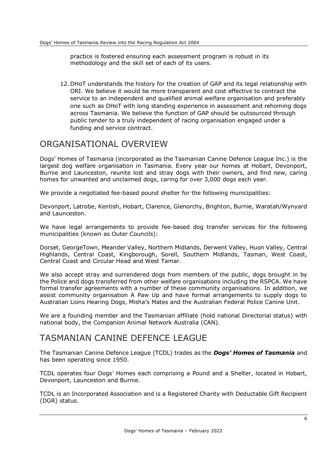practice is fostered ensuring each assessment program is robust in its methodology and the skill set of each of its users.

12.DHoT understands the history for the creation of GAP and its legal relationship with ORI. We believe it would be more transparent and cost effective to contract the service to an independent and qualified animal welfare organisation and preferably one such as DHoT with long standing experience in assessment and rehoming dogs across Tasmania. We believe the function of GAP should be outsourced through public tender to a truly independent of racing organisation engaged under a funding and service contract.

### ORGANISATIONAL OVERVIEW

Dogs' Homes of Tasmania (incorporated as the Tasmanian Canine Defence League Inc.) is the largest dog welfare organisation in Tasmania. Every year our homes at Hobart, Devonport, Burnie and Launceston, reunite lost and stray dogs with their owners, and find new, caring homes for unwanted and unclaimed dogs, caring for over 3,000 dogs each year.

We provide a negotiated fee-based pound shelter for the following municipalities:

Devonport, Latrobe, Kentish, Hobart, Clarence, Glenorchy, Brighton, Burnie, Waratah/Wynyard and Launceston.

We have legal arrangements to provide fee-based dog transfer services for the following municipalities (known as Outer Councils):

Dorset, GeorgeTown, Meander Valley, Northern Midlands, Derwent Valley, Huon Valley, Central Highlands, Central Coast, Kingborough, Sorell, Southern Midlands, Tasman, West Coast, Central Coast and Circular Head and West Tamar.

We also accept stray and surrendered dogs from members of the public, dogs brought in by the Police and dogs transferred from other welfare organisations including the RSPCA. We have formal transfer agreements with a number of these community organisations. In addition, we assist community organisation A Paw Up and have formal arrangements to supply dogs to Australian Lions Hearing Dogs, Misha's Mates and the Australian Federal Police Canine Unit.

We are a founding member and the Tasmanian affiliate (hold national Directorial status) with national body, the Companion Animal Network Australia (CAN).

### TASMANIAN CANINE DEFENCE LEAGUE

The Tasmanian Canine Defence League (TCDL) trades as the *Dogs' Homes of Tasmania* and has been operating since 1950.

TCDL operates four Dogs' Homes each comprising a Pound and a Shelter, located in Hobart, Devonport, Launceston and Burnie.

TCDL is an Incorporated Association and is a Registered Charity with Deductable Gift Recipient (DGR) status.